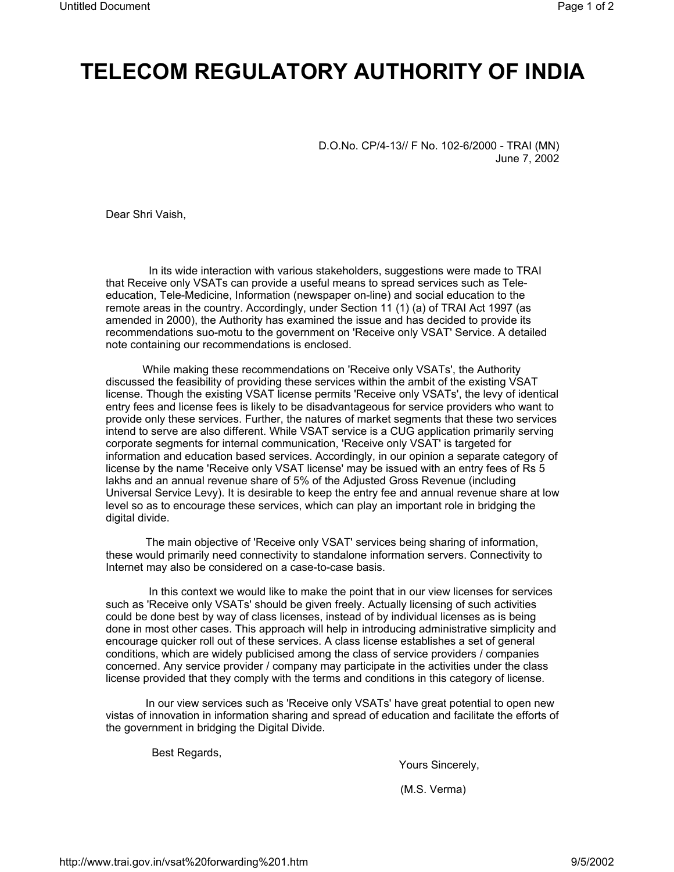## **TELECOM REGULATORY AUTHORITY OF INDIA**

D.O.No. CP/4-13// F No. 102-6/2000 - TRAI (MN) June 7, 2002

Dear Shri Vaish,

 In its wide interaction with various stakeholders, suggestions were made to TRAI that Receive only VSATs can provide a useful means to spread services such as Teleeducation, Tele-Medicine, Information (newspaper on-line) and social education to the remote areas in the country. Accordingly, under Section 11 (1) (a) of TRAI Act 1997 (as amended in 2000), the Authority has examined the issue and has decided to provide its recommendations suo-motu to the government on 'Receive only VSAT' Service. A detailed note containing our recommendations is enclosed.

 While making these recommendations on 'Receive only VSATs', the Authority discussed the feasibility of providing these services within the ambit of the existing VSAT license. Though the existing VSAT license permits 'Receive only VSATs', the levy of identical entry fees and license fees is likely to be disadvantageous for service providers who want to provide only these services. Further, the natures of market segments that these two services intend to serve are also different. While VSAT service is a CUG application primarily serving corporate segments for internal communication, 'Receive only VSAT' is targeted for information and education based services. Accordingly, in our opinion a separate category of license by the name 'Receive only VSAT license' may be issued with an entry fees of Rs 5 lakhs and an annual revenue share of 5% of the Adjusted Gross Revenue (including Universal Service Levy). It is desirable to keep the entry fee and annual revenue share at low level so as to encourage these services, which can play an important role in bridging the digital divide.

 The main objective of 'Receive only VSAT' services being sharing of information, these would primarily need connectivity to standalone information servers. Connectivity to Internet may also be considered on a case-to-case basis.

 In this context we would like to make the point that in our view licenses for services such as 'Receive only VSATs' should be given freely. Actually licensing of such activities could be done best by way of class licenses, instead of by individual licenses as is being done in most other cases. This approach will help in introducing administrative simplicity and encourage quicker roll out of these services. A class license establishes a set of general conditions, which are widely publicised among the class of service providers / companies concerned. Any service provider / company may participate in the activities under the class license provided that they comply with the terms and conditions in this category of license.

 In our view services such as 'Receive only VSATs' have great potential to open new vistas of innovation in information sharing and spread of education and facilitate the efforts of the government in bridging the Digital Divide.

Best Regards,

Yours Sincerely,

(M.S. Verma)